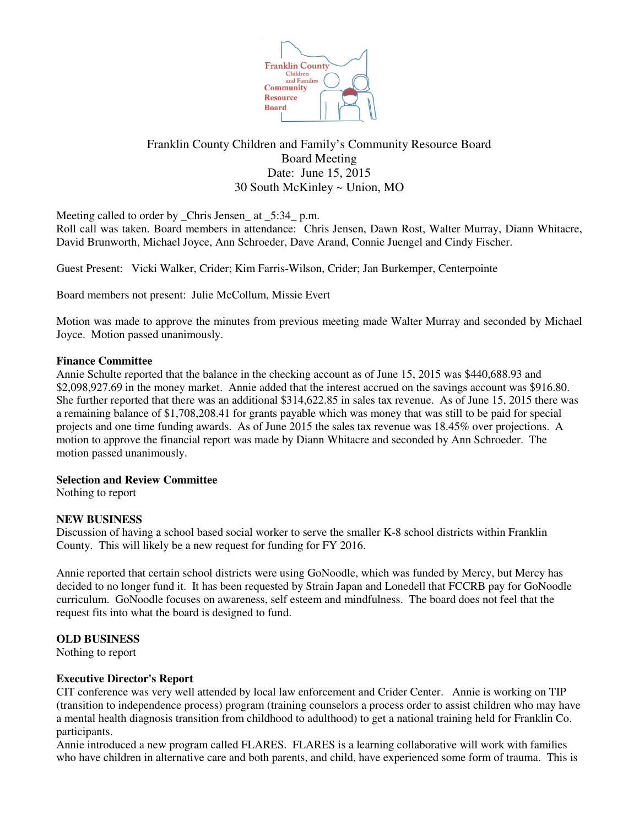

# Franklin County Children and Family's Community Resource Board Board Meeting Date: June 15, 2015 30 South McKinley ~ Union, MO

Meeting called to order by \_Chris Jensen\_ at \_5:34\_ p.m.

Roll call was taken. Board members in attendance: Chris Jensen, Dawn Rost, Walter Murray, Diann Whitacre, David Brunworth, Michael Joyce, Ann Schroeder, Dave Arand, Connie Juengel and Cindy Fischer.

Guest Present: Vicki Walker, Crider; Kim Farris-Wilson, Crider; Jan Burkemper, Centerpointe

Board members not present: Julie McCollum, Missie Evert

Motion was made to approve the minutes from previous meeting made Walter Murray and seconded by Michael Joyce. Motion passed unanimously.

# **Finance Committee**

Annie Schulte reported that the balance in the checking account as of June 15, 2015 was \$440,688.93 and \$2,098,927.69 in the money market. Annie added that the interest accrued on the savings account was \$916.80. She further reported that there was an additional \$314,622.85 in sales tax revenue. As of June 15, 2015 there was a remaining balance of \$1,708,208.41 for grants payable which was money that was still to be paid for special projects and one time funding awards. As of June 2015 the sales tax revenue was 18.45% over projections. A motion to approve the financial report was made by Diann Whitacre and seconded by Ann Schroeder. The motion passed unanimously.

# **Selection and Review Committee**

Nothing to report

# **NEW BUSINESS**

Discussion of having a school based social worker to serve the smaller K-8 school districts within Franklin County. This will likely be a new request for funding for FY 2016.

Annie reported that certain school districts were using GoNoodle, which was funded by Mercy, but Mercy has decided to no longer fund it. It has been requested by Strain Japan and Lonedell that FCCRB pay for GoNoodle curriculum. GoNoodle focuses on awareness, self esteem and mindfulness. The board does not feel that the request fits into what the board is designed to fund.

# **OLD BUSINESS**

Nothing to report

# **Executive Director's Report**

CIT conference was very well attended by local law enforcement and Crider Center. Annie is working on TIP (transition to independence process) program (training counselors a process order to assist children who may have a mental health diagnosis transition from childhood to adulthood) to get a national training held for Franklin Co. participants.

Annie introduced a new program called FLARES. FLARES is a learning collaborative will work with families who have children in alternative care and both parents, and child, have experienced some form of trauma. This is